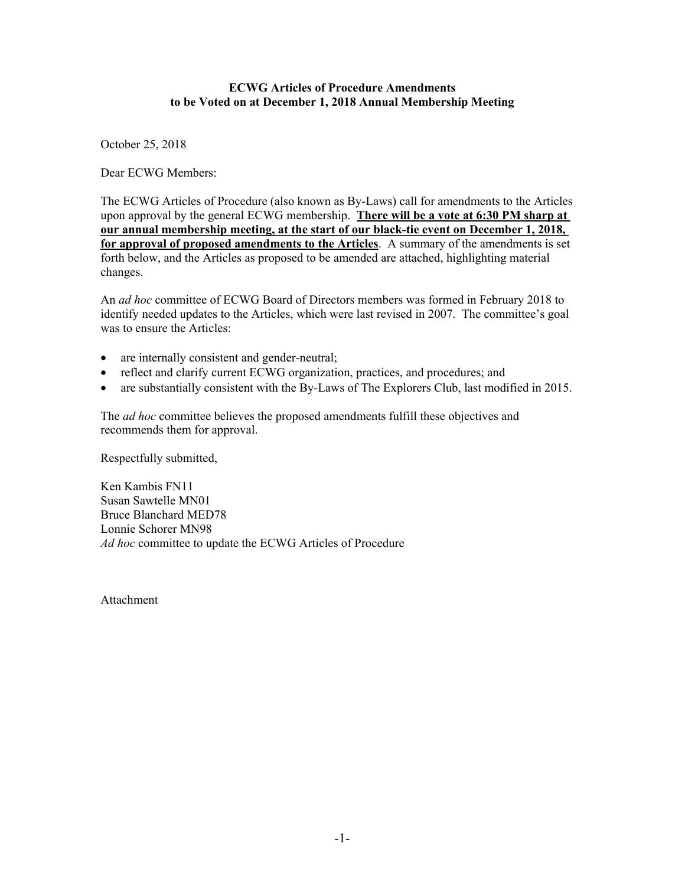### **ECWG Articles of Procedure Amendments to be Voted on at December 1, 2018 Annual Membership Meeting**

October 25, 2018

Dear ECWG Members:

The ECWG Articles of Procedure (also known as By-Laws) call for amendments to the Articles upon approval by the general ECWG membership. **There will be a vote at 6:30 PM sharp at our annual membership meeting, at the start of our black-tie event on December 1, 2018, for approval of proposed amendments to the Articles**. A summary of the amendments is set forth below, and the Articles as proposed to be amended are attached, highlighting material changes.

An *ad hoc* committee of ECWG Board of Directors members was formed in February 2018 to identify needed updates to the Articles, which were last revised in 2007. The committee's goal was to ensure the Articles:

- are internally consistent and gender-neutral;
- reflect and clarify current ECWG organization, practices, and procedures; and
- are substantially consistent with the By-Laws of The Explorers Club, last modified in 2015.

The *ad hoc* committee believes the proposed amendments fulfill these objectives and recommends them for approval.

Respectfully submitted,

Ken Kambis FN11 Susan Sawtelle MN01 Bruce Blanchard MED78 Lonnie Schorer MN98 *Ad hoc* committee to update the ECWG Articles of Procedure

Attachment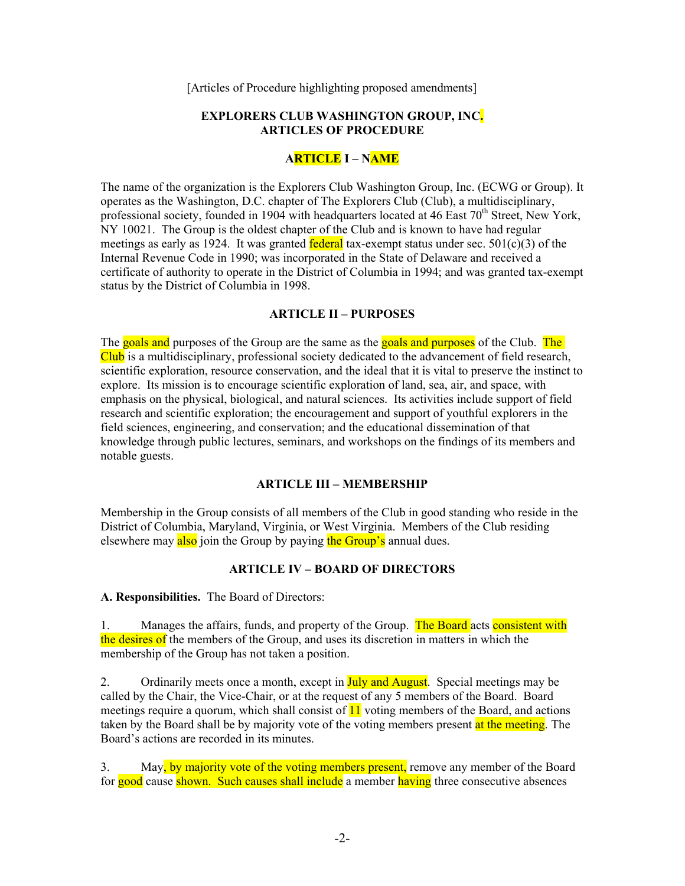[Articles of Procedure highlighting proposed amendments]

## **EXPLORERS CLUB WASHINGTON GROUP, INC. ARTICLES OF PROCEDURE**

## **ARTICLE I – NAME**

The name of the organization is the Explorers Club Washington Group, Inc. (ECWG or Group). It operates as the Washington, D.C. chapter of The Explorers Club (Club), a multidisciplinary, professional society, founded in 1904 with headquarters located at 46 East  $70<sup>th</sup>$  Street, New York, NY 10021. The Group is the oldest chapter of the Club and is known to have had regular meetings as early as 1924. It was granted **federal** tax-exempt status under sec.  $501(c)(3)$  of the Internal Revenue Code in 1990; was incorporated in the State of Delaware and received a certificate of authority to operate in the District of Columbia in 1994; and was granted tax-exempt status by the District of Columbia in 1998.

## **ARTICLE II – PURPOSES**

The goals and purposes of the Group are the same as the goals and purposes of the Club. The Club is a multidisciplinary, professional society dedicated to the advancement of field research, scientific exploration, resource conservation, and the ideal that it is vital to preserve the instinct to explore. Its mission is to encourage scientific exploration of land, sea, air, and space, with emphasis on the physical, biological, and natural sciences. Its activities include support of field research and scientific exploration; the encouragement and support of youthful explorers in the field sciences, engineering, and conservation; and the educational dissemination of that knowledge through public lectures, seminars, and workshops on the findings of its members and notable guests.

### **ARTICLE III – MEMBERSHIP**

Membership in the Group consists of all members of the Club in good standing who reside in the District of Columbia, Maryland, Virginia, or West Virginia. Members of the Club residing elsewhere may also join the Group by paying the Group's annual dues.

# **ARTICLE IV – BOARD OF DIRECTORS**

**A. Responsibilities.** The Board of Directors:

1. Manages the affairs, funds, and property of the Group. The Board acts consistent with the desires of the members of the Group, and uses its discretion in matters in which the membership of the Group has not taken a position.

2. Ordinarily meets once a month, except in **July and August**. Special meetings may be called by the Chair, the Vice-Chair, or at the request of any 5 members of the Board. Board meetings require a quorum, which shall consist of  $\frac{11}{11}$  voting members of the Board, and actions taken by the Board shall be by majority vote of the voting members present at the meeting. The Board's actions are recorded in its minutes.

3. May, by majority vote of the voting members present, remove any member of the Board for good cause shown. Such causes shall include a member having three consecutive absences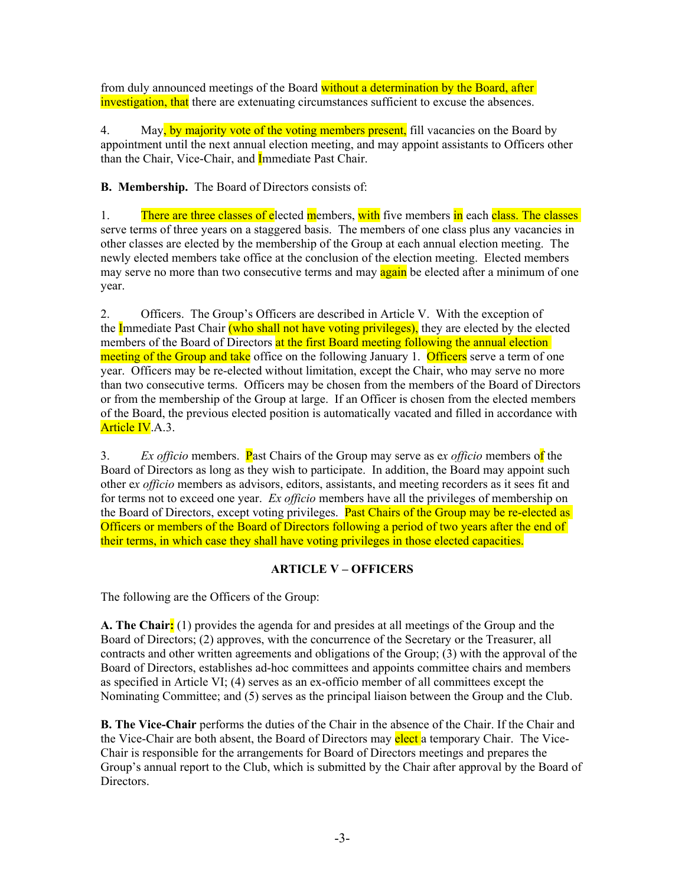from duly announced meetings of the Board without a determination by the Board, after investigation, that there are extenuating circumstances sufficient to excuse the absences.

4. May, by majority vote of the voting members present, fill vacancies on the Board by appointment until the next annual election meeting, and may appoint assistants to Officers other than the Chair, Vice-Chair, and Immediate Past Chair.

**B. Membership.** The Board of Directors consists of:

1. There are three classes of elected members, with five members in each class. The classes serve terms of three years on a staggered basis. The members of one class plus any vacancies in other classes are elected by the membership of the Group at each annual election meeting. The newly elected members take office at the conclusion of the election meeting. Elected members may serve no more than two consecutive terms and may **again** be elected after a minimum of one year.

2. Officers. The Group's Officers are described in Article V. With the exception of the Immediate Past Chair (who shall not have voting privileges), they are elected by the elected members of the Board of Directors at the first Board meeting following the annual election meeting of the Group and take office on the following January 1. Officers serve a term of one year. Officers may be re-elected without limitation, except the Chair, who may serve no more than two consecutive terms. Officers may be chosen from the members of the Board of Directors or from the membership of the Group at large. If an Officer is chosen from the elected members of the Board, the previous elected position is automatically vacated and filled in accordance with Article IV.A.3.

3. *Ex officio* members. Past Chairs of the Group may serve as e*x officio* members of the Board of Directors as long as they wish to participate. In addition, the Board may appoint such other e*x officio* members as advisors, editors, assistants, and meeting recorders as it sees fit and for terms not to exceed one year. *Ex officio* members have all the privileges of membership on the Board of Directors, except voting privileges. Past Chairs of the Group may be re-elected as Officers or members of the Board of Directors following a period of two years after the end of their terms, in which case they shall have voting privileges in those elected capacities.

# **ARTICLE V – OFFICERS**

The following are the Officers of the Group:

**A. The Chair:** (1) provides the agenda for and presides at all meetings of the Group and the Board of Directors; (2) approves, with the concurrence of the Secretary or the Treasurer, all contracts and other written agreements and obligations of the Group; (3) with the approval of the Board of Directors, establishes ad-hoc committees and appoints committee chairs and members as specified in Article VI; (4) serves as an ex-officio member of all committees except the Nominating Committee; and (5) serves as the principal liaison between the Group and the Club.

**B. The Vice-Chair** performs the duties of the Chair in the absence of the Chair. If the Chair and the Vice-Chair are both absent, the Board of Directors may elect a temporary Chair. The Vice-Chair is responsible for the arrangements for Board of Directors meetings and prepares the Group's annual report to the Club, which is submitted by the Chair after approval by the Board of Directors.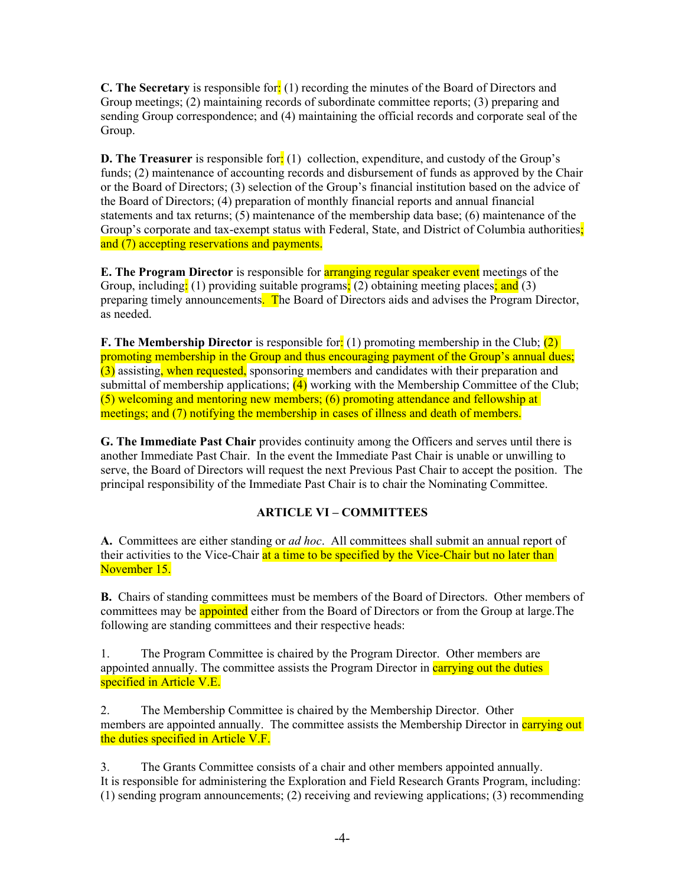**C. The Secretary** is responsible for: (1) recording the minutes of the Board of Directors and Group meetings; (2) maintaining records of subordinate committee reports; (3) preparing and sending Group correspondence; and (4) maintaining the official records and corporate seal of the Group.

**D. The Treasurer** is responsible for: (1) collection, expenditure, and custody of the Group's funds; (2) maintenance of accounting records and disbursement of funds as approved by the Chair or the Board of Directors; (3) selection of the Group's financial institution based on the advice of the Board of Directors; (4) preparation of monthly financial reports and annual financial statements and tax returns; (5) maintenance of the membership data base; (6) maintenance of the Group's corporate and tax-exempt status with Federal, State, and District of Columbia authorities; and (7) accepting reservations and payments.

**E. The Program Director** is responsible for **arranging regular speaker event** meetings of the Group, including: (1) providing suitable programs: (2) obtaining meeting places; and (3) preparing timely announcements. The Board of Directors aids and advises the Program Director, as needed.

**F. The Membership Director** is responsible for: (1) promoting membership in the Club; (2) promoting membership in the Group and thus encouraging payment of the Group's annual dues; (3) assisting, when requested, sponsoring members and candidates with their preparation and submittal of membership applications;  $(4)$  working with the Membership Committee of the Club; (5) welcoming and mentoring new members; (6) promoting attendance and fellowship at meetings; and (7) notifying the membership in cases of illness and death of members.

**G. The Immediate Past Chair** provides continuity among the Officers and serves until there is another Immediate Past Chair. In the event the Immediate Past Chair is unable or unwilling to serve, the Board of Directors will request the next Previous Past Chair to accept the position. The principal responsibility of the Immediate Past Chair is to chair the Nominating Committee.

# **ARTICLE VI – COMMITTEES**

**A.** Committees are either standing or *ad hoc*. All committees shall submit an annual report of their activities to the Vice-Chair at a time to be specified by the Vice-Chair but no later than November 15.

**B.** Chairs of standing committees must be members of the Board of Directors. Other members of committees may be **appointed** either from the Board of Directors or from the Group at large. The following are standing committees and their respective heads:

1. The Program Committee is chaired by the Program Director. Other members are appointed annually. The committee assists the Program Director in carrying out the duties specified in Article V.E.

2. The Membership Committee is chaired by the Membership Director. Other members are appointed annually. The committee assists the Membership Director in carrying out the duties specified in Article V.F.

3. The Grants Committee consists of a chair and other members appointed annually. It is responsible for administering the Exploration and Field Research Grants Program, including: (1) sending program announcements; (2) receiving and reviewing applications; (3) recommending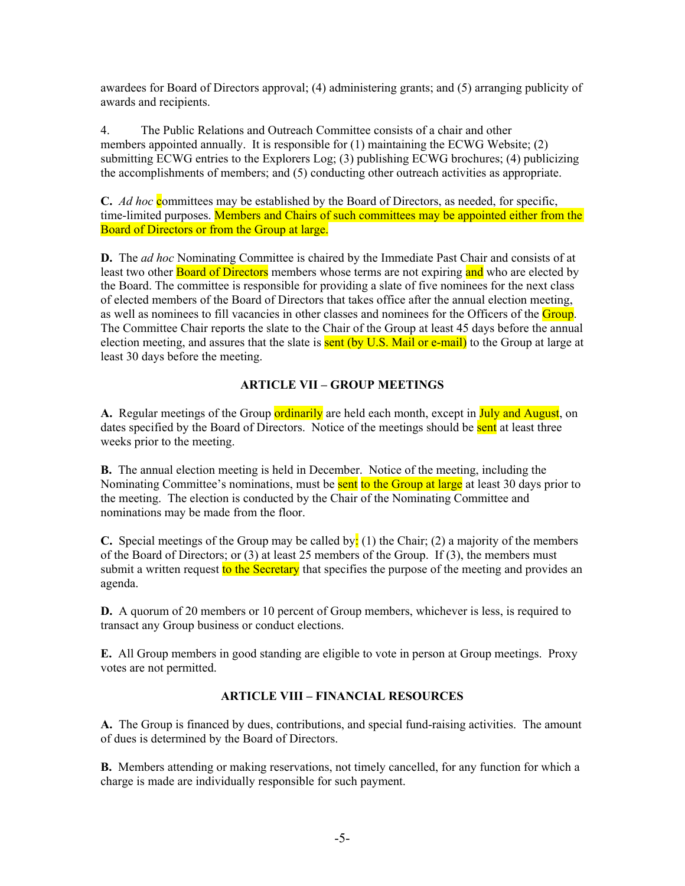awardees for Board of Directors approval; (4) administering grants; and (5) arranging publicity of awards and recipients.

4. The Public Relations and Outreach Committee consists of a chair and other members appointed annually. It is responsible for (1) maintaining the ECWG Website; (2) submitting ECWG entries to the Explorers Log; (3) publishing ECWG brochures; (4) publicizing the accomplishments of members; and (5) conducting other outreach activities as appropriate.

**C.** *Ad hoc* committees may be established by the Board of Directors, as needed, for specific, time-limited purposes. Members and Chairs of such committees may be appointed either from the Board of Directors or from the Group at large.

**D.** The *ad hoc* Nominating Committee is chaired by the Immediate Past Chair and consists of at least two other **Board of Directors** members whose terms are not expiring and who are elected by the Board. The committee is responsible for providing a slate of five nominees for the next class of elected members of the Board of Directors that takes office after the annual election meeting, as well as nominees to fill vacancies in other classes and nominees for the Officers of the Group. The Committee Chair reports the slate to the Chair of the Group at least 45 days before the annual election meeting, and assures that the slate is **sent (by U.S. Mail or e-mail)** to the Group at large at least 30 days before the meeting.

# **ARTICLE VII – GROUP MEETINGS**

**A.** Regular meetings of the Group **ordinarily** are held each month, except in July and August, on dates specified by the Board of Directors. Notice of the meetings should be sent at least three weeks prior to the meeting.

**B.** The annual election meeting is held in December. Notice of the meeting, including the Nominating Committee's nominations, must be sent to the Group at large at least 30 days prior to the meeting. The election is conducted by the Chair of the Nominating Committee and nominations may be made from the floor.

**C.** Special meetings of the Group may be called by: (1) the Chair; (2) a majority of the members of the Board of Directors; or (3) at least 25 members of the Group. If (3), the members must submit a written request to the Secretary that specifies the purpose of the meeting and provides an agenda.

**D.** A quorum of 20 members or 10 percent of Group members, whichever is less, is required to transact any Group business or conduct elections.

**E.** All Group members in good standing are eligible to vote in person at Group meetings. Proxy votes are not permitted.

# **ARTICLE VIII – FINANCIAL RESOURCES**

**A.** The Group is financed by dues, contributions, and special fund-raising activities. The amount of dues is determined by the Board of Directors.

**B.** Members attending or making reservations, not timely cancelled, for any function for which a charge is made are individually responsible for such payment.